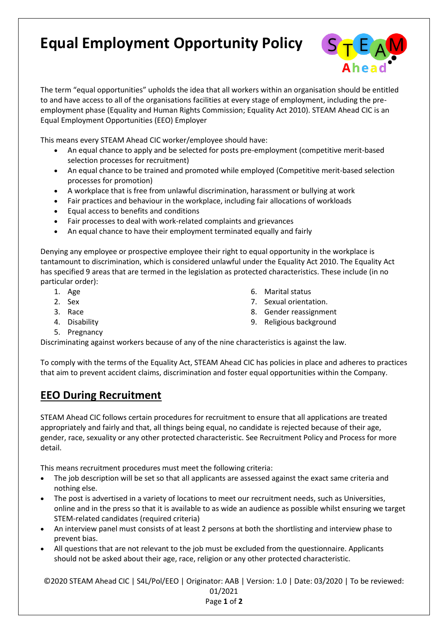## **Equal Employment Opportunity Policy**



The term "equal opportunities" upholds the idea that all workers within an organisation should be entitled to and have access to all of the organisations facilities at every stage of employment, including the preemployment phase [\(Equality and Human Rights Commission;](http://www.equalityhumanrights.com/) Equality Act 2010). STEAM Ahead CIC is an Equal Employment Opportunities (EEO) Employer

This means every STEAM Ahead CIC worker/employee should have:

- An equal chance to apply and be selected for posts pre-employment (competitive merit-based selection processes for recruitment)
- An equal chance to be trained and promoted while employed (Competitive merit-based selection processes for promotion)
- A workplace that is free from unlawful discrimination, harassment or [bullying at work](https://www.claimsaction.co.uk/accident-at-work-claim/compensation-for-workplace-bullying/)
- Fair practices and behaviour in the workplace, including fair allocations of workloads
- Equal access to benefits and conditions
- Fair processes to deal with work-related complaints and grievances
- An equal chance to have their employment terminated equally and fairly

Denying any employee or prospective employee their right to equal opportunity in the workplace is tantamount to discrimination, which is considered unlawful under the [Equality Act 2010.](http://www.equalityhumanrights.com/legal-and-policy/legislation/equality-act-2010/what-equality-act) The Equality Act has specified 9 areas that are termed in the legislation as protected characteristics. These include (in no particular order):

> 6. Marital status 7. Sexual orientation. 8. Gender reassignment 9. Religious background

- 1. Age
- 2. Sex
- 3. Race
- 4. Disability
- 5. Pregnancy
- Discriminating against workers because of any of the nine characteristics is against the law.

To comply with the terms of the Equality Act, STEAM Ahead CIC has policies in place and adheres to practices that aim to prevent [accident claims,](http://www.accidentclaimsadvice.org.uk/) discrimination and foster equal opportunities within the Company.

## **EEO During Recruitment**

STEAM Ahead CIC follows certain procedures for recruitment to ensure that all applications are treated appropriately and fairly and that, all things being equal, no candidate is rejected because of their age, gender, race, sexuality or any other protected characteristic. See Recruitment Policy and Process for more detail.

This means recruitment procedures must meet the following criteria:

- The job description will be set so that all applicants are assessed against the exact same criteria and nothing else.
- The post is advertised in a variety of locations to meet our recruitment needs, such as Universities, online and in the press so that it is available to as wide an audience as possible whilst ensuring we target STEM-related candidates (required criteria)
- An interview panel must consists of at least 2 persons at both the shortlisting and interview phase to prevent bias.
- All questions that are not relevant to the job must be excluded from the questionnaire. Applicants should not be asked about their age, race, religion or any other protected characteristic.

©2020 STEAM Ahead CIC | S4L/Pol/EEO | Originator: AAB | Version: 1.0 | Date: 03/2020 | To be reviewed: 01/2021 Page **1** of **2**